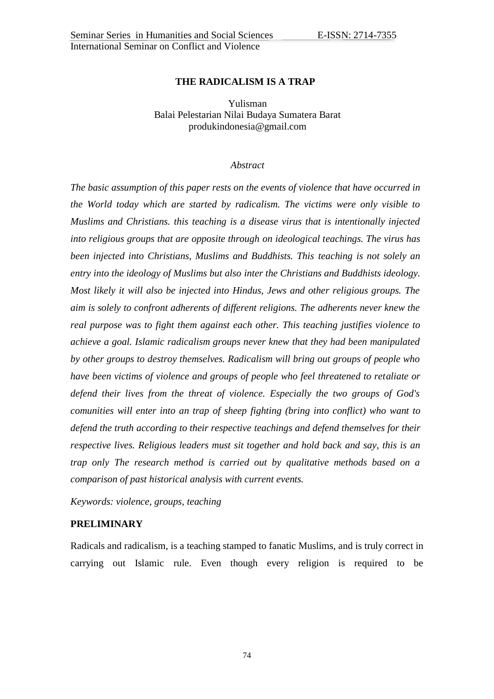# **THE RADICALISM IS A TRAP**

Yulisman Balai Pelestarian Nilai Budaya Sumatera Barat produkindonesia@gmail.com

### *Abstract*

*The basic assumption of this paper rests on the events of violence that have occurred in the World today which are started by radicalism. The victims were only visible to Muslims and Christians. this teaching is a disease virus that is intentionally injected into religious groups that are opposite through on ideological teachings. The virus has been injected into Christians, Muslims and Buddhists. This teaching is not solely an entry into the ideology of Muslims but also inter the Christians and Buddhists ideology. Most likely it will also be injected into Hindus, Jews and other religious groups. The aim is solely to confront adherents of different religions. The adherents never knew the real purpose was to fight them against each other. This teaching justifies violence to achieve a goal. Islamic radicalism groups never knew that they had been manipulated by other groups to destroy themselves. Radicalism will bring out groups of people who have been victims of violence and groups of people who feel threatened to retaliate or defend their lives from the threat of violence. Especially the two groups of God's comunities will enter into an trap of sheep fighting (bring into conflict) who want to defend the truth according to their respective teachings and defend themselves for their respective lives. Religious leaders must sit together and hold back and say, this is an trap only The research method is carried out by qualitative methods based on a comparison of past historical analysis with current events.*

*Keywords: violence, groups, teaching*

# **PRELIMINARY**

Radicals and radicalism, is a teaching stamped to fanatic Muslims, and is truly correct in carrying out Islamic rule. Even though every religion is required to be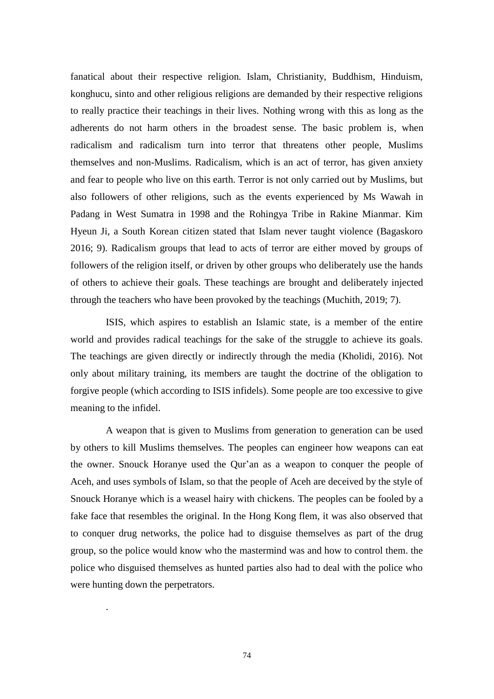fanatical about their respective religion. Islam, Christianity, Buddhism, Hinduism, konghucu, sinto and other religious religions are demanded by their respective religions to really practice their teachings in their lives. Nothing wrong with this as long as the adherents do not harm others in the broadest sense. The basic problem is, when radicalism and radicalism turn into terror that threatens other people, Muslims themselves and non-Muslims. Radicalism, which is an act of terror, has given anxiety and fear to people who live on this earth. Terror is not only carried out by Muslims, but also followers of other religions, such as the events experienced by Ms Wawah in Padang in West Sumatra in 1998 and the Rohingya Tribe in Rakine Mianmar. Kim Hyeun Ji, a South Korean citizen stated that Islam never taught violence (Bagaskoro 2016; 9). Radicalism groups that lead to acts of terror are either moved by groups of followers of the religion itself, or driven by other groups who deliberately use the hands of others to achieve their goals. These teachings are brought and deliberately injected through the teachers who have been provoked by the teachings (Muchith, 2019; 7).

ISIS, which aspires to establish an Islamic state, is a member of the entire world and provides radical teachings for the sake of the struggle to achieve its goals. The teachings are given directly or indirectly through the media (Kholidi, 2016). Not only about military training, its members are taught the doctrine of the obligation to forgive people (which according to ISIS infidels). Some people are too excessive to give meaning to the infidel.

A weapon that is given to Muslims from generation to generation can be used by others to kill Muslims themselves. The peoples can engineer how weapons can eat the owner. Snouck Horanye used the Qur"an as a weapon to conquer the people of Aceh, and uses symbols of Islam, so that the people of Aceh are deceived by the style of Snouck Horanye which is a weasel hairy with chickens. The peoples can be fooled by a fake face that resembles the original. In the Hong Kong flem, it was also observed that to conquer drug networks, the police had to disguise themselves as part of the drug group, so the police would know who the mastermind was and how to control them. the police who disguised themselves as hunted parties also had to deal with the police who were hunting down the perpetrators.

.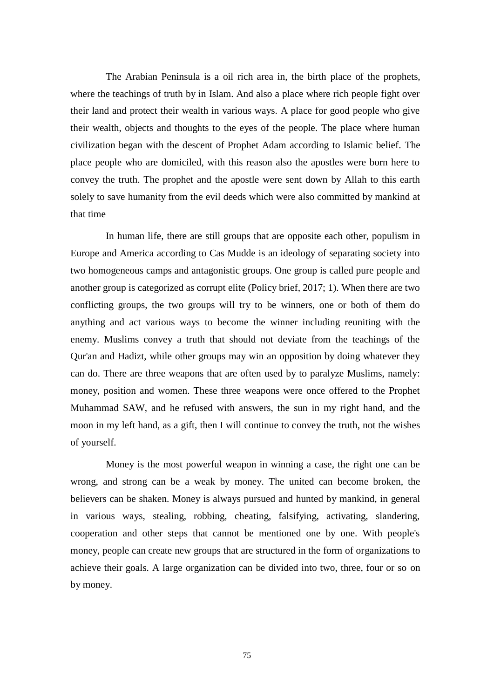The Arabian Peninsula is a oil rich area in, the birth place of the prophets, where the teachings of truth by in Islam. And also a place where rich people fight over their land and protect their wealth in various ways. A place for good people who give their wealth, objects and thoughts to the eyes of the people. The place where human civilization began with the descent of Prophet Adam according to Islamic belief. The place people who are domiciled, with this reason also the apostles were born here to convey the truth. The prophet and the apostle were sent down by Allah to this earth solely to save humanity from the evil deeds which were also committed by mankind at that time

In human life, there are still groups that are opposite each other, populism in Europe and America according to Cas Mudde is an ideology of separating society into two homogeneous camps and antagonistic groups. One group is called pure people and another group is categorized as corrupt elite (Policy brief, 2017; 1). When there are two conflicting groups, the two groups will try to be winners, one or both of them do anything and act various ways to become the winner including reuniting with the enemy. Muslims convey a truth that should not deviate from the teachings of the Qur'an and Hadizt, while other groups may win an opposition by doing whatever they can do. There are three weapons that are often used by to paralyze Muslims, namely: money, position and women. These three weapons were once offered to the Prophet Muhammad SAW, and he refused with answers, the sun in my right hand, and the moon in my left hand, as a gift, then I will continue to convey the truth, not the wishes of yourself.

Money is the most powerful weapon in winning a case, the right one can be wrong, and strong can be a weak by money. The united can become broken, the believers can be shaken. Money is always pursued and hunted by mankind, in general in various ways, stealing, robbing, cheating, falsifying, activating, slandering, cooperation and other steps that cannot be mentioned one by one. With people's money, people can create new groups that are structured in the form of organizations to achieve their goals. A large organization can be divided into two, three, four or so on by money.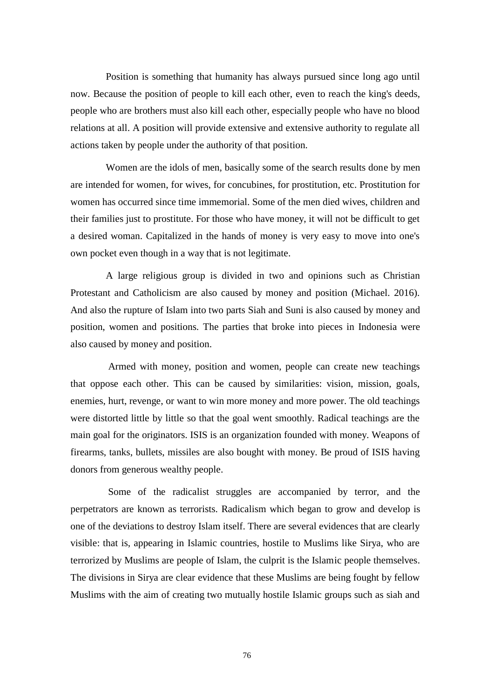Position is something that humanity has always pursued since long ago until now. Because the position of people to kill each other, even to reach the king's deeds, people who are brothers must also kill each other, especially people who have no blood relations at all. A position will provide extensive and extensive authority to regulate all actions taken by people under the authority of that position.

Women are the idols of men, basically some of the search results done by men are intended for women, for wives, for concubines, for prostitution, etc. Prostitution for women has occurred since time immemorial. Some of the men died wives, children and their families just to prostitute. For those who have money, it will not be difficult to get a desired woman. Capitalized in the hands of money is very easy to move into one's own pocket even though in a way that is not legitimate.

A large religious group is divided in two and opinions such as Christian Protestant and Catholicism are also caused by money and position (Michael. 2016). And also the rupture of Islam into two parts Siah and Suni is also caused by money and position, women and positions. The parties that broke into pieces in Indonesia were also caused by money and position.

Armed with money, position and women, people can create new teachings that oppose each other. This can be caused by similarities: vision, mission, goals, enemies, hurt, revenge, or want to win more money and more power. The old teachings were distorted little by little so that the goal went smoothly. Radical teachings are the main goal for the originators. ISIS is an organization founded with money. Weapons of firearms, tanks, bullets, missiles are also bought with money. Be proud of ISIS having donors from generous wealthy people.

Some of the radicalist struggles are accompanied by terror, and the perpetrators are known as terrorists. Radicalism which began to grow and develop is one of the deviations to destroy Islam itself. There are several evidences that are clearly visible: that is, appearing in Islamic countries, hostile to Muslims like Sirya, who are terrorized by Muslims are people of Islam, the culprit is the Islamic people themselves. The divisions in Sirya are clear evidence that these Muslims are being fought by fellow Muslims with the aim of creating two mutually hostile Islamic groups such as siah and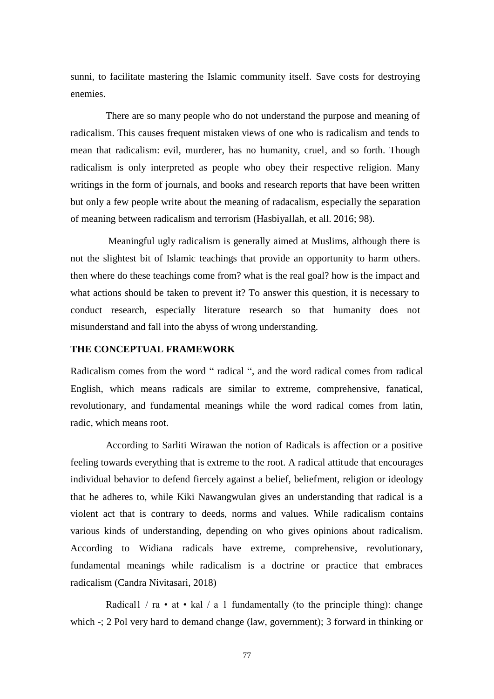sunni, to facilitate mastering the Islamic community itself. Save costs for destroying enemies.

There are so many people who do not understand the purpose and meaning of radicalism. This causes frequent mistaken views of one who is radicalism and tends to mean that radicalism: evil, murderer, has no humanity, cruel, and so forth. Though radicalism is only interpreted as people who obey their respective religion. Many writings in the form of journals, and books and research reports that have been written but only a few people write about the meaning of radacalism, especially the separation of meaning between radicalism and terrorism (Hasbiyallah, et all. 2016; 98).

Meaningful ugly radicalism is generally aimed at Muslims, although there is not the slightest bit of Islamic teachings that provide an opportunity to harm others. then where do these teachings come from? what is the real goal? how is the impact and what actions should be taken to prevent it? To answer this question, it is necessary to conduct research, especially literature research so that humanity does not misunderstand and fall into the abyss of wrong understanding.

# **THE CONCEPTUAL FRAMEWORK**

Radicalism comes from the word " radical ", and the word radical comes from radical English, which means radicals are similar to extreme, comprehensive, fanatical, revolutionary, and fundamental meanings while the word radical comes from latin, radic, which means root.

According to Sarliti Wirawan the notion of Radicals is affection or a positive feeling towards everything that is extreme to the root. A radical attitude that encourages individual behavior to defend fiercely against a belief, beliefment, religion or ideology that he adheres to, while Kiki Nawangwulan gives an understanding that radical is a violent act that is contrary to deeds, norms and values. While radicalism contains various kinds of understanding, depending on who gives opinions about radicalism. According to Widiana radicals have extreme, comprehensive, revolutionary, fundamental meanings while radicalism is a doctrine or practice that embraces radicalism (Candra Nivitasari, 2018)

Radical1 / ra • at • kal / a 1 fundamentally (to the principle thing): change which -; 2 Pol very hard to demand change (law, government); 3 forward in thinking or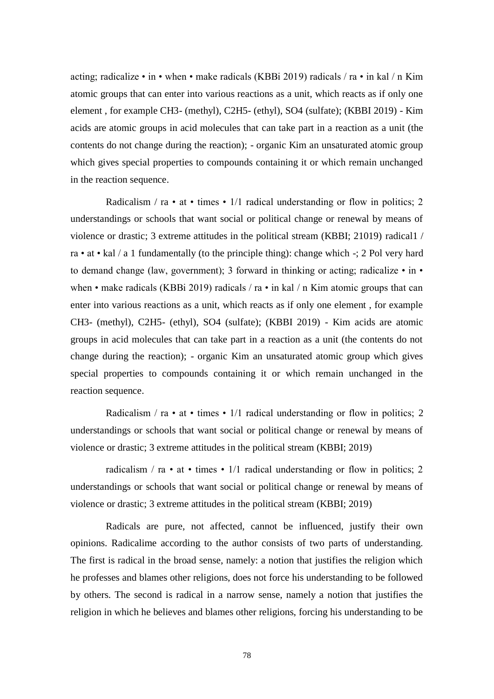acting; radicalize • in • when • make radicals (KBBi 2019) radicals / ra • in kal / n Kim atomic groups that can enter into various reactions as a unit, which reacts as if only one element , for example CH3- (methyl), C2H5- (ethyl), SO4 (sulfate); (KBBI 2019) - Kim acids are atomic groups in acid molecules that can take part in a reaction as a unit (the contents do not change during the reaction); - organic Kim an unsaturated atomic group which gives special properties to compounds containing it or which remain unchanged in the reaction sequence.

Radicalism / ra • at • times • 1/1 radical understanding or flow in politics; 2 understandings or schools that want social or political change or renewal by means of violence or drastic; 3 extreme attitudes in the political stream (KBBI; 21019) radical1 / ra • at • kal / a 1 fundamentally (to the principle thing): change which -; 2 Pol very hard to demand change (law, government); 3 forward in thinking or acting; radicalize • in • when • make radicals (KBBi 2019) radicals / ra • in kal / n Kim atomic groups that can enter into various reactions as a unit, which reacts as if only one element , for example CH3- (methyl), C2H5- (ethyl), SO4 (sulfate); (KBBI 2019) - Kim acids are atomic groups in acid molecules that can take part in a reaction as a unit (the contents do not change during the reaction); - organic Kim an unsaturated atomic group which gives special properties to compounds containing it or which remain unchanged in the reaction sequence.

Radicalism / ra • at • times • 1/1 radical understanding or flow in politics; 2 understandings or schools that want social or political change or renewal by means of violence or drastic; 3 extreme attitudes in the political stream (KBBI; 2019)

radicalism / ra • at • times • 1/1 radical understanding or flow in politics; 2 understandings or schools that want social or political change or renewal by means of violence or drastic; 3 extreme attitudes in the political stream (KBBI; 2019)

Radicals are pure, not affected, cannot be influenced, justify their own opinions. Radicalime according to the author consists of two parts of understanding. The first is radical in the broad sense, namely: a notion that justifies the religion which he professes and blames other religions, does not force his understanding to be followed by others. The second is radical in a narrow sense, namely a notion that justifies the religion in which he believes and blames other religions, forcing his understanding to be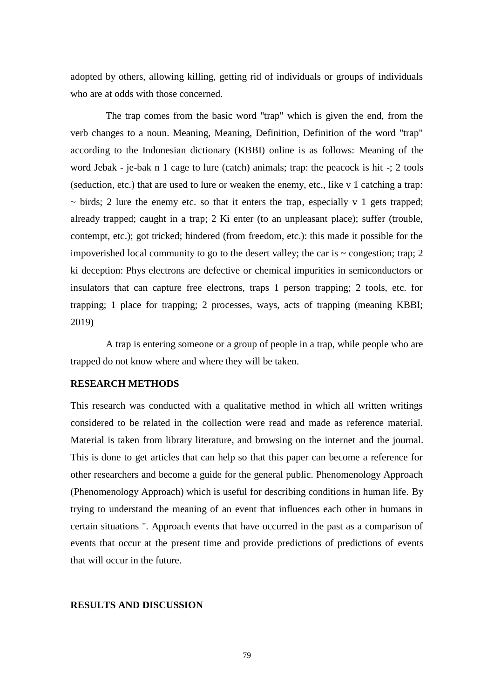adopted by others, allowing killing, getting rid of individuals or groups of individuals who are at odds with those concerned.

The trap comes from the basic word "trap" which is given the end, from the verb changes to a noun. Meaning, Meaning, Definition, Definition of the word "trap" according to the Indonesian dictionary (KBBI) online is as follows: Meaning of the word Jebak - je-bak n 1 cage to lure (catch) animals; trap: the peacock is hit -; 2 tools (seduction, etc.) that are used to lure or weaken the enemy, etc., like v 1 catching a trap:  $\sim$  birds; 2 lure the enemy etc. so that it enters the trap, especially v 1 gets trapped; already trapped; caught in a trap; 2 Ki enter (to an unpleasant place); suffer (trouble, contempt, etc.); got tricked; hindered (from freedom, etc.): this made it possible for the impoverished local community to go to the desert valley; the car is  $\sim$  congestion; trap; 2 ki deception: Phys electrons are defective or chemical impurities in semiconductors or insulators that can capture free electrons, traps 1 person trapping; 2 tools, etc. for trapping; 1 place for trapping; 2 processes, ways, acts of trapping (meaning KBBI; 2019)

A trap is entering someone or a group of people in a trap, while people who are trapped do not know where and where they will be taken.

# **RESEARCH METHODS**

This research was conducted with a qualitative method in which all written writings considered to be related in the collection were read and made as reference material. Material is taken from library literature, and browsing on the internet and the journal. This is done to get articles that can help so that this paper can become a reference for other researchers and become a guide for the general public. Phenomenology Approach (Phenomenology Approach) which is useful for describing conditions in human life. By trying to understand the meaning of an event that influences each other in humans in certain situations ". Approach events that have occurred in the past as a comparison of events that occur at the present time and provide predictions of predictions of events that will occur in the future.

## **RESULTS AND DISCUSSION**

79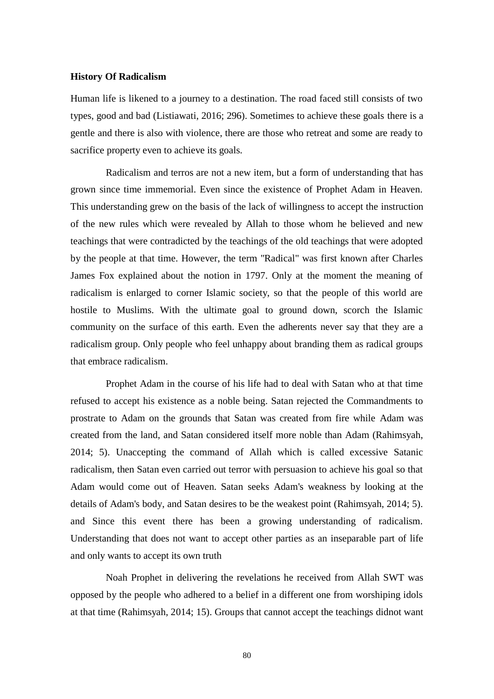### **History Of Radicalism**

Human life is likened to a journey to a destination. The road faced still consists of two types, good and bad (Listiawati, 2016; 296). Sometimes to achieve these goals there is a gentle and there is also with violence, there are those who retreat and some are ready to sacrifice property even to achieve its goals.

Radicalism and terros are not a new item, but a form of understanding that has grown since time immemorial. Even since the existence of Prophet Adam in Heaven. This understanding grew on the basis of the lack of willingness to accept the instruction of the new rules which were revealed by Allah to those whom he believed and new teachings that were contradicted by the teachings of the old teachings that were adopted by the people at that time. However, the term "Radical" was first known after Charles James Fox explained about the notion in 1797. Only at the moment the meaning of radicalism is enlarged to corner Islamic society, so that the people of this world are hostile to Muslims. With the ultimate goal to ground down, scorch the Islamic community on the surface of this earth. Even the adherents never say that they are a radicalism group. Only people who feel unhappy about branding them as radical groups that embrace radicalism.

Prophet Adam in the course of his life had to deal with Satan who at that time refused to accept his existence as a noble being. Satan rejected the Commandments to prostrate to Adam on the grounds that Satan was created from fire while Adam was created from the land, and Satan considered itself more noble than Adam (Rahimsyah, 2014; 5). Unaccepting the command of Allah which is called excessive Satanic radicalism, then Satan even carried out terror with persuasion to achieve his goal so that Adam would come out of Heaven. Satan seeks Adam's weakness by looking at the details of Adam's body, and Satan desires to be the weakest point (Rahimsyah, 2014; 5). and Since this event there has been a growing understanding of radicalism. Understanding that does not want to accept other parties as an inseparable part of life and only wants to accept its own truth

Noah Prophet in delivering the revelations he received from Allah SWT was opposed by the people who adhered to a belief in a different one from worshiping idols at that time (Rahimsyah, 2014; 15). Groups that cannot accept the teachings didnot want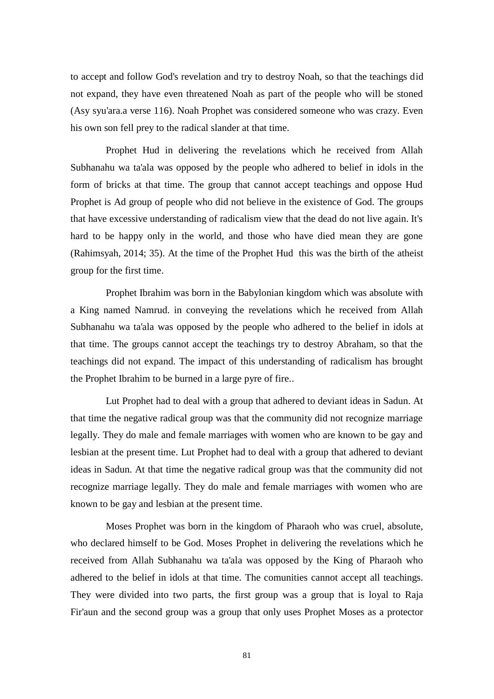to accept and follow God's revelation and try to destroy Noah, so that the teachings did not expand, they have even threatened Noah as part of the people who will be stoned (Asy syu'ara.a verse 116). Noah Prophet was considered someone who was crazy. Even his own son fell prey to the radical slander at that time.

Prophet Hud in delivering the revelations which he received from Allah Subhanahu wa ta'ala was opposed by the people who adhered to belief in idols in the form of bricks at that time. The group that cannot accept teachings and oppose Hud Prophet is Ad group of people who did not believe in the existence of God. The groups that have excessive understanding of radicalism view that the dead do not live again. It's hard to be happy only in the world, and those who have died mean they are gone (Rahimsyah, 2014; 35). At the time of the Prophet Hud this was the birth of the atheist group for the first time.

Prophet Ibrahim was born in the Babylonian kingdom which was absolute with a King named Namrud. in conveying the revelations which he received from Allah Subhanahu wa ta'ala was opposed by the people who adhered to the belief in idols at that time. The groups cannot accept the teachings try to destroy Abraham, so that the teachings did not expand. The impact of this understanding of radicalism has brought the Prophet Ibrahim to be burned in a large pyre of fire..

Lut Prophet had to deal with a group that adhered to deviant ideas in Sadun. At that time the negative radical group was that the community did not recognize marriage legally. They do male and female marriages with women who are known to be gay and lesbian at the present time. Lut Prophet had to deal with a group that adhered to deviant ideas in Sadun. At that time the negative radical group was that the community did not recognize marriage legally. They do male and female marriages with women who are known to be gay and lesbian at the present time.

Moses Prophet was born in the kingdom of Pharaoh who was cruel, absolute, who declared himself to be God. Moses Prophet in delivering the revelations which he received from Allah Subhanahu wa ta'ala was opposed by the King of Pharaoh who adhered to the belief in idols at that time. The comunities cannot accept all teachings. They were divided into two parts, the first group was a group that is loyal to Raja Fir'aun and the second group was a group that only uses Prophet Moses as a protector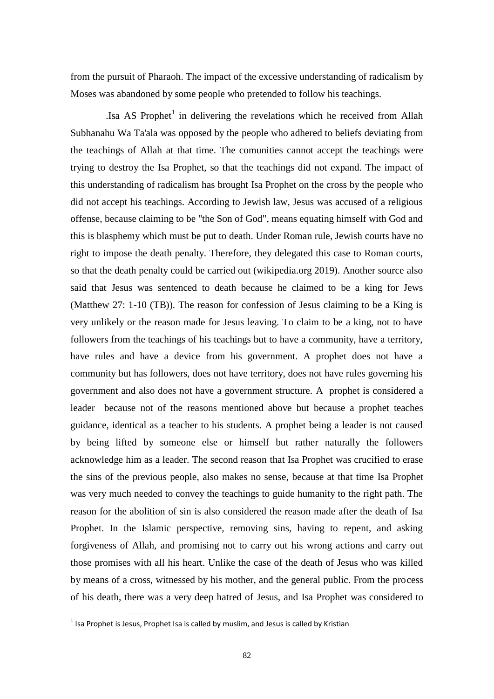from the pursuit of Pharaoh. The impact of the excessive understanding of radicalism by Moses was abandoned by some people who pretended to follow his teachings.

Isa AS Prophet<sup>1</sup> in delivering the revelations which he received from Allah Subhanahu Wa Ta'ala was opposed by the people who adhered to beliefs deviating from the teachings of Allah at that time. The comunities cannot accept the teachings were trying to destroy the Isa Prophet, so that the teachings did not expand. The impact of this understanding of radicalism has brought Isa Prophet on the cross by the people who did not accept his teachings. According to Jewish law, Jesus was accused of a religious offense, because claiming to be "the Son of God", means equating himself with God and this is blasphemy which must be put to death. Under Roman rule, Jewish courts have no right to impose the death penalty. Therefore, they delegated this case to Roman courts, so that the death penalty could be carried out (wikipedia.org 2019). Another source also said that Jesus was sentenced to death because he claimed to be a king for Jews (Matthew 27: 1-10 (TB)). The reason for confession of Jesus claiming to be a King is very unlikely or the reason made for Jesus leaving. To claim to be a king, not to have followers from the teachings of his teachings but to have a community, have a territory, have rules and have a device from his government. A prophet does not have a community but has followers, does not have territory, does not have rules governing his government and also does not have a government structure. A prophet is considered a leader because not of the reasons mentioned above but because a prophet teaches guidance, identical as a teacher to his students. A prophet being a leader is not caused by being lifted by someone else or himself but rather naturally the followers acknowledge him as a leader. The second reason that Isa Prophet was crucified to erase the sins of the previous people, also makes no sense, because at that time Isa Prophet was very much needed to convey the teachings to guide humanity to the right path. The reason for the abolition of sin is also considered the reason made after the death of Isa Prophet. In the Islamic perspective, removing sins, having to repent, and asking forgiveness of Allah, and promising not to carry out his wrong actions and carry out those promises with all his heart. Unlike the case of the death of Jesus who was killed by means of a cross, witnessed by his mother, and the general public. From the process of his death, there was a very deep hatred of Jesus, and Isa Prophet was considered to

1

 $<sup>1</sup>$  Isa Prophet is Jesus, Prophet Isa is called by muslim, and Jesus is called by Kristian</sup>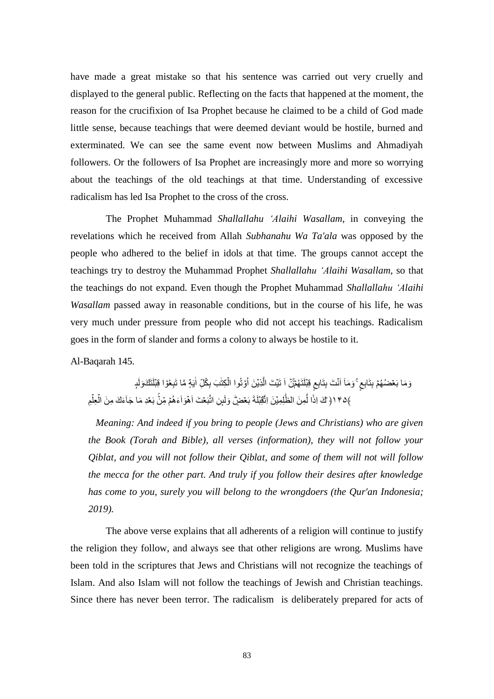have made a great mistake so that his sentence was carried out very cruelly and displayed to the general public. Reflecting on the facts that happened at the moment, the reason for the crucifixion of Isa Prophet because he claimed to be a child of God made little sense, because teachings that were deemed deviant would be hostile, burned and exterminated. We can see the same event now between Muslims and Ahmadiyah followers. Or the followers of Isa Prophet are increasingly more and more so worrying about the teachings of the old teachings at that time. Understanding of excessive radicalism has led Isa Prophet to the cross of the cross.

The Prophet Muhammad *Shallallahu 'Alaihi Wasallam*, in conveying the revelations which he received from Allah *Subhanahu Wa Ta'ala* was opposed by the people who adhered to the belief in idols at that time. The groups cannot accept the teachings try to destroy the Muhammad Prophet *Shallallahu 'Alaihi Wasallam*, so that the teachings do not expand. Even though the Prophet Muhammad *Shallallahu 'Alaihi Wasallam* passed away in reasonable conditions, but in the course of his life, he was very much under pressure from people who did not accept his teachings. Radicalism goes in the form of slander and forms a colony to always be hostile to it.

Al-Baqarah 145.

بِتَابِع ۚ وَمَاۤ اَنَّتَ بِتَابِعٍ قِبْلَتَهُمِّنۡ اَ تَيۡتَ الَّذِيۡنَ اُوۡتُوا الۡكِتَٰبَ بِكُلِّ اٰيَةٍ مَّا تَبِعُوۡا قِبۡلَتَكَۥوَلَإ ĺ |<br>| j  $\overline{\phantom{a}}$ ;<br>) ĺ ĺ  $\frac{1}{2}$  $\ddot{\Omega}$ ﴾١٤٩ ( ٓكَ اِذًا لَّمِنَ الظُّلِمِيْنَ اتَّقِبْلَةَ بَعۡضٍ وَلَبِنِ اتَّبَعۡتَ اَهۡوَاۤءَهُمۡ مِّنۡ بَعۡدِ مَا جَآءَكَ مِنَ الۡعِلۡمِ Ĩ  $\frac{1}{2}$ Ĩ ļ  $\ddot{\phantom{0}}$ ĺ

 *Meaning: And indeed if you bring to people (Jews and Christians) who are given the Book (Torah and Bible), all verses (information), they will not follow your Qiblat, and you will not follow their Qiblat, and some of them will not will follow the mecca for the other part. And truly if you follow their desires after knowledge has come to you, surely you will belong to the wrongdoers (the Qur'an Indonesia; 2019).*

The above verse explains that all adherents of a religion will continue to justify the religion they follow, and always see that other religions are wrong. Muslims have been told in the scriptures that Jews and Christians will not recognize the teachings of Islam. And also Islam will not follow the teachings of Jewish and Christian teachings. Since there has never been terror. The radicalism is deliberately prepared for acts of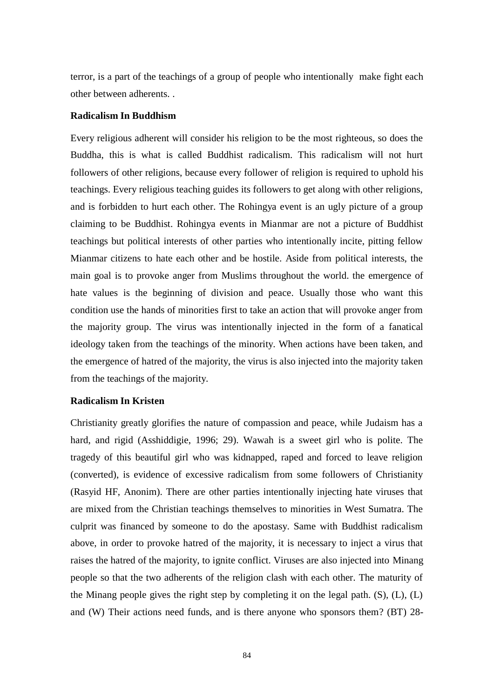terror, is a part of the teachings of a group of people who intentionally make fight each other between adherents. .

## **Radicalism In Buddhism**

Every religious adherent will consider his religion to be the most righteous, so does the Buddha, this is what is called Buddhist radicalism. This radicalism will not hurt followers of other religions, because every follower of religion is required to uphold his teachings. Every religious teaching guides its followers to get along with other religions, and is forbidden to hurt each other. The Rohingya event is an ugly picture of a group claiming to be Buddhist. Rohingya events in Mianmar are not a picture of Buddhist teachings but political interests of other parties who intentionally incite, pitting fellow Mianmar citizens to hate each other and be hostile. Aside from political interests, the main goal is to provoke anger from Muslims throughout the world. the emergence of hate values is the beginning of division and peace. Usually those who want this condition use the hands of minorities first to take an action that will provoke anger from the majority group. The virus was intentionally injected in the form of a fanatical ideology taken from the teachings of the minority. When actions have been taken, and the emergence of hatred of the majority, the virus is also injected into the majority taken from the teachings of the majority.

### **Radicalism In Kristen**

Christianity greatly glorifies the nature of compassion and peace, while Judaism has a hard, and rigid (Asshiddigie, 1996; 29). Wawah is a sweet girl who is polite. The tragedy of this beautiful girl who was kidnapped, raped and forced to leave religion (converted), is evidence of excessive radicalism from some followers of Christianity (Rasyid HF, Anonim). There are other parties intentionally injecting hate viruses that are mixed from the Christian teachings themselves to minorities in West Sumatra. The culprit was financed by someone to do the apostasy. Same with Buddhist radicalism above, in order to provoke hatred of the majority, it is necessary to inject a virus that raises the hatred of the majority, to ignite conflict. Viruses are also injected into Minang people so that the two adherents of the religion clash with each other. The maturity of the Minang people gives the right step by completing it on the legal path. (S), (L), (L) and (W) Their actions need funds, and is there anyone who sponsors them? (BT) 28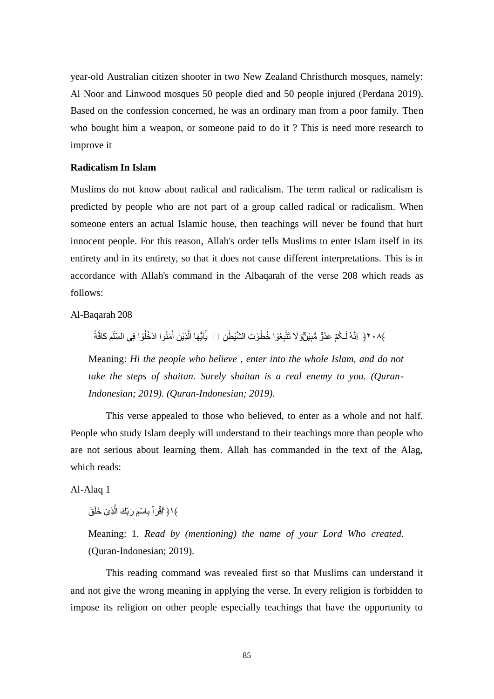year-old Australian citizen shooter in two New Zealand Christhurch mosques, namely: Al Noor and Linwood mosques 50 people died and 50 people injured (Perdana 2019). Based on the confession concerned, he was an ordinary man from a poor family. Then who bought him a weapon, or someone paid to do it ? This is need more research to improve it

#### **Radicalism In Islam**

Muslims do not know about radical and radicalism. The term radical or radicalism is predicted by people who are not part of a group called radical or radicalism. When someone enters an actual Islamic house, then teachings will never be found that hurt innocent people. For this reason, Allah's order tells Muslims to enter Islam itself in its entirety and in its entirety, so that it does not cause different interpretations. This is in accordance with Allah's command in the Albaqarah of the verse 208 which reads as follows:

Al-Baqarah 208

 $\ddot{\phantom{0}}$ ﴾٢٠٨ { اِنَّهُ لَـكُمۡ عَدُوٌّ مُّبِيَنِّ وَلَا تَتَّبِعُوٓا خُطُوٰتِ الشَّيۡطَٰنِ ۞ يٰٓأَيُّهَا الَّذِيۡنَ أمَنُوا ادۡخُلُوٓا فِى السِّلْهِ ĺ ו<br>ו ĺ  $\ddot{\phantom{0}}$ ׀<br>ׇׇׇ֚֚֡ Ļ ļ.

Meaning: *Hi the people who believe , enter into the whole Islam, and do not take the steps of shaitan. Surely shaitan is a real enemy to you. (Quran-Indonesian; 2019). (Quran-Indonesian; 2019).*

This verse appealed to those who believed, to enter as a whole and not half. People who study Islam deeply will understand to their teachings more than people who are not serious about learning them. Allah has commanded in the text of the Alag, which reads:

Al-Alaq 1

﴾ا ﴿ أَقُرَاً بِاسْمِ رَبِّكَ الَّذِيۡ خَلَقَ ĺ ĺ j

Meaning: 1. *Read by (mentioning) the name of your Lord Who created*. (Quran-Indonesian; 2019).

This reading command was revealed first so that Muslims can understand it and not give the wrong meaning in applying the verse. In every religion is forbidden to impose its religion on other people especially teachings that have the opportunity to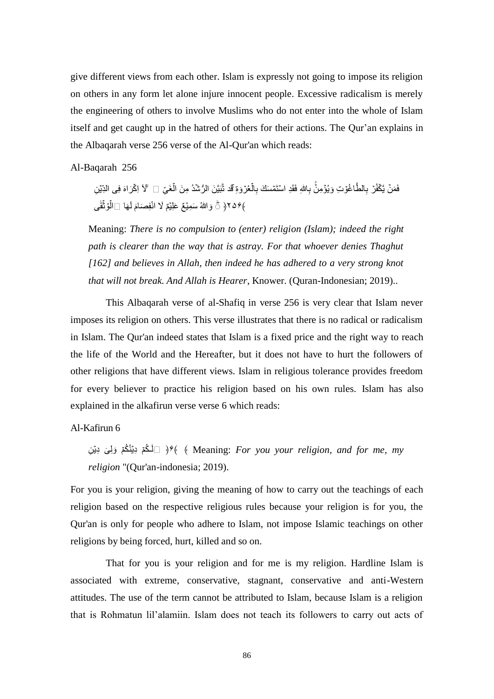give different views from each other. Islam is expressly not going to impose its religion on others in any form let alone injure innocent people. Excessive radicalism is merely the engineering of others to involve Muslims who do not enter into the whole of Islam itself and get caught up in the hatred of others for their actions. The Qur"an explains in the Albaqarah verse 256 verse of the Al-Qur'an which reads:

Al-Baqarah 256

كَفُرٌ بِالطَّاغُوّتِ وَيُؤْمِنُّ بِاللهِ فَقَدِ اسْتَمْسَكَ بِالْحُرْوَةِ قَدْ نَّبَيَّنَ الرُّشْدُ مِنَ الْغَيّ  $\mathbb{I}$  'لآ لِكْرَاهَ فِى الدِّيْنِ  $\overline{\phantom{0}}$ ĺ  $\ddot{\phantom{0}}$ ĺ ﴾۶۵۶﴿ ۞ وَاللَّهُ سَمِيَّعٌ عَلِيَّمٌ لَا انْفِصَامَ لَـهَا ۞الَّوُنَّقَٰى ĺ أ

Meaning: *There is no compulsion to (enter) religion (Islam); indeed the right path is clearer than the way that is astray. For that whoever denies Thaghut [162] and believes in Allah, then indeed he has adhered to a very strong knot that will not break. And Allah is Hearer*, Knower. (Quran-Indonesian; 2019)..

This Albaqarah verse of al-Shafiq in verse 256 is very clear that Islam never imposes its religion on others. This verse illustrates that there is no radical or radicalism in Islam. The Qur'an indeed states that Islam is a fixed price and the right way to reach the life of the World and the Hereafter, but it does not have to hurt the followers of other religions that have different views. Islam in religious tolerance provides freedom for every believer to practice his religion based on his own rules. Islam has also explained in the alkafirun verse verse 6 which reads:

## Al-Kafirun 6

ا لَـلْكُمۡ دِيۡنُكُمۡ وَلِیَ دِیۡنِ $\rightarrow$   $\ast$  ( Meaning: *For you your religion, and for me, my religion* "(Qur'an-indonesia; 2019).

For you is your religion, giving the meaning of how to carry out the teachings of each religion based on the respective religious rules because your religion is for you, the Qur'an is only for people who adhere to Islam, not impose Islamic teachings on other religions by being forced, hurt, killed and so on.

That for you is your religion and for me is my religion. Hardline Islam is associated with extreme, conservative, stagnant, conservative and anti-Western attitudes. The use of the term cannot be attributed to Islam, because Islam is a religion that is Rohmatun lil"alamiin. Islam does not teach its followers to carry out acts of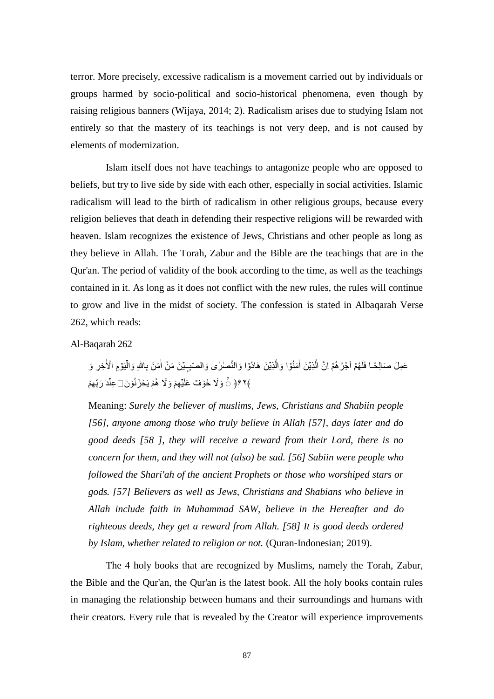terror. More precisely, excessive radicalism is a movement carried out by individuals or groups harmed by socio-political and socio-historical phenomena, even though by raising religious banners (Wijaya, 2014; 2). Radicalism arises due to studying Islam not entirely so that the mastery of its teachings is not very deep, and is not caused by elements of modernization.

Islam itself does not have teachings to antagonize people who are opposed to beliefs, but try to live side by side with each other, especially in social activities. Islamic radicalism will lead to the birth of radicalism in other religious groups, because every religion believes that death in defending their respective religions will be rewarded with heaven. Islam recognizes the existence of Jews, Christians and other people as long as they believe in Allah. The Torah, Zabur and the Bible are the teachings that are in the Qur'an. The period of validity of the book according to the time, as well as the teachings contained in it. As long as it does not conflict with the new rules, the rules will continue to grow and live in the midst of society. The confession is stated in Albaqarah Verse 262, which reads:

## Al-Baqarah 262

لَّذِيۡنَ اٰمَنُوۡٓا وَالَّذِيۡنَ هَادُوۡا وَالنَّصٰلٰى وَالصّٰبِـيۡنَ مَنۡ اٰمَنَ بِاللَّهِ وَالۡيَوۡمِ الۡأخِرِ وَ  $\ddot{\phantom{0}}$  $\overline{\phantom{a}}$ , أ ١ أ ĺ ﴾۶۲﴿ ۞ وَلَا خَوَّفٌ عَلَيۡهِمۡ وَلَا هُمۡ يَحۡزَ نُوۡنَ ۞عِنۡدَ رَبِّهِمۡ ֦֧֦֧֦֧֦֧֦֧֦֧֦֧֦֧֖֪֚֚֚֚֝֝֝֝֝֝֝֬<br>֧֪֪֪֪֪֪֪֪֪֪֪֪֪֪֪֪֪֪֪֪֝<u>֚</u>

Meaning: *Surely the believer of muslims, Jews, Christians and Shabiin people [56], anyone among those who truly believe in Allah [57], days later and do good deeds [58 ], they will receive a reward from their Lord, there is no concern for them, and they will not (also) be sad. [56] Sabiin were people who followed the Shari'ah of the ancient Prophets or those who worshiped stars or gods. [57] Believers as well as Jews, Christians and Shabians who believe in Allah include faith in Muhammad SAW, believe in the Hereafter and do righteous deeds, they get a reward from Allah. [58] It is good deeds ordered by Islam, whether related to religion or not.* (Quran-Indonesian; 2019).

The 4 holy books that are recognized by Muslims, namely the Torah, Zabur, the Bible and the Qur'an, the Qur'an is the latest book. All the holy books contain rules in managing the relationship between humans and their surroundings and humans with their creators. Every rule that is revealed by the Creator will experience improvements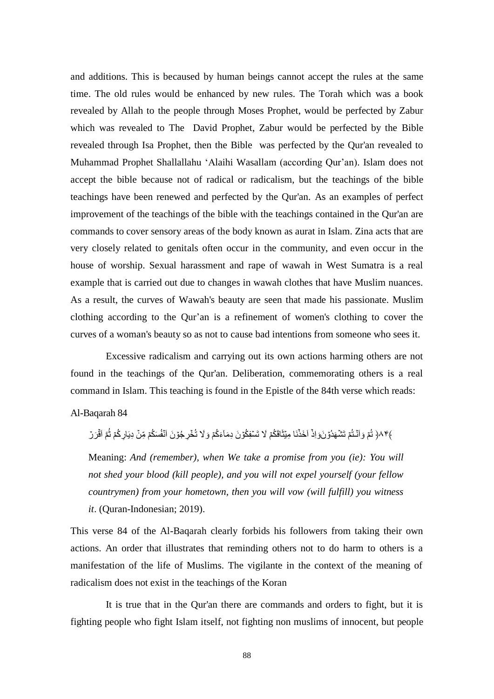and additions. This is becaused by human beings cannot accept the rules at the same time. The old rules would be enhanced by new rules. The Torah which was a book revealed by Allah to the people through Moses Prophet, would be perfected by Zabur which was revealed to The David Prophet, Zabur would be perfected by the Bible revealed through Isa Prophet, then the Bible was perfected by the Qur'an revealed to Muhammad Prophet Shallallahu "Alaihi Wasallam (according Qur"an). Islam does not accept the bible because not of radical or radicalism, but the teachings of the bible teachings have been renewed and perfected by the Qur'an. As an examples of perfect improvement of the teachings of the bible with the teachings contained in the Qur'an are commands to cover sensory areas of the body known as aurat in Islam. Zina acts that are very closely related to genitals often occur in the community, and even occur in the house of worship. Sexual harassment and rape of wawah in West Sumatra is a real example that is carried out due to changes in wawah clothes that have Muslim nuances. As a result, the curves of Wawah's beauty are seen that made his passionate. Muslim clothing according to the Qur"an is a refinement of women's clothing to cover the curves of a woman's beauty so as not to cause bad intentions from someone who sees it.

Excessive radicalism and carrying out its own actions harming others are not found in the teachings of the Qur'an. Deliberation, commemorating others is a real command in Islam. This teaching is found in the Epistle of the 84th verse which reads:

Al-Baqarah 84

﴾٨٣﴿ ثُمّ وَاَنَّـتُمۡ تَشۡهَدُوۡنَوَاِذۡ اَخَذۡنَا مِیۡثَاقَکُمۡ لَا تَسۡفِکُوۡنَ دِمَآءَکُمۡ وَلَا تُخۡرِجُوۡنَ اَنۡفُسَکُمۡ مِّنۡ دِیَارِکُمۡ ثُمَّ اَقۡرَرۡ Ĺ ć í Ĩ  $\ddot{\phantom{0}}$ ĺ

Meaning: *And (remember), when We take a promise from you (ie): You will not shed your blood (kill people), and you will not expel yourself (your fellow countrymen) from your hometown, then you will vow (will fulfill) you witness it*. (Quran-Indonesian; 2019).

This verse 84 of the Al-Baqarah clearly forbids his followers from taking their own actions. An order that illustrates that reminding others not to do harm to others is a manifestation of the life of Muslims. The vigilante in the context of the meaning of radicalism does not exist in the teachings of the Koran

It is true that in the Qur'an there are commands and orders to fight, but it is fighting people who fight Islam itself, not fighting non muslims of innocent, but people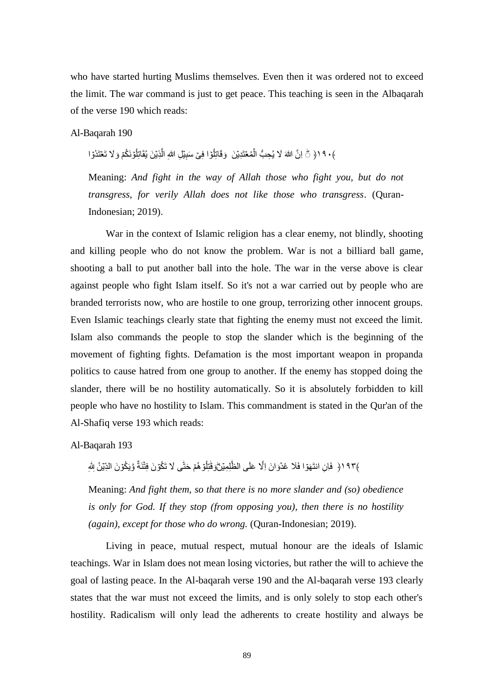who have started hurting Muslims themselves. Even then it was ordered not to exceed the limit. The war command is just to get peace. This teaching is seen in the Albaqarah of the verse 190 which reads:

Al-Baqarah 190

﴾٩٠ ﴿ ۞ اِنَّ اللهَ لَا يُحِبُّ الْمُعْتَدِيْنَ ۚ وَقَاتِلُوٓا فِىِّ سَبِيِّلِ اللهِ الَّذِيِّنَ يُقَاتِلُوۡنَكُمۡ وَلَا تَعۡتَدُوٓا i<br>H ĺ ļ i<br>H

Meaning: *And fight in the way of Allah those who fight you, but do not transgress, for verily Allah does not like those who transgress*. (Quran-Indonesian; 2019).

War in the context of Islamic religion has a clear enemy, not blindly, shooting and killing people who do not know the problem. War is not a billiard ball game, shooting a ball to put another ball into the hole. The war in the verse above is clear against people who fight Islam itself. So it's not a war carried out by people who are branded terrorists now, who are hostile to one group, terrorizing other innocent groups. Even Islamic teachings clearly state that fighting the enemy must not exceed the limit. Islam also commands the people to stop the slander which is the beginning of the movement of fighting fights. Defamation is the most important weapon in propanda politics to cause hatred from one group to another. If the enemy has stopped doing the slander, there will be no hostility automatically. So it is absolutely forbidden to kill people who have no hostility to Islam. This commandment is stated in the Qur'an of the Al-Shafiq verse 193 which reads:

Al-Baqarah 193

 $\ddot{\phantom{0}}$ i ĺ ﴾١٩٣﴿ فَإِنِ انتَهَوَّا فَلَا عُدًوَانَ إِلَّا عَلَى الظُّلِمِيِّنَّوَقْتِلُوِّ هُمِّ حَتَّى لَا تَكُوّنَ فِتَّنَةٌ i<br>H ļ  $\begin{array}{c} \hline \end{array}$  $\ddot{\phantom{0}}$ 

Meaning: *And fight them, so that there is no more slander and (so) obedience is only for God. If they stop (from opposing you), then there is no hostility (again), except for those who do wrong. (Quran-Indonesian; 2019).* 

Living in peace, mutual respect, mutual honour are the ideals of Islamic teachings. War in Islam does not mean losing victories, but rather the will to achieve the goal of lasting peace. In the Al-baqarah verse 190 and the Al-baqarah verse 193 clearly states that the war must not exceed the limits, and is only solely to stop each other's hostility. Radicalism will only lead the adherents to create hostility and always be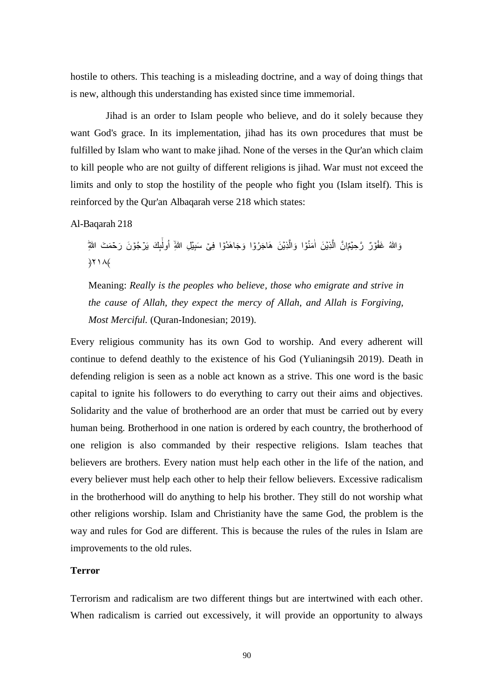hostile to others. This teaching is a misleading doctrine, and a way of doing things that is new, although this understanding has existed since time immemorial.

Jihad is an order to Islam people who believe, and do it solely because they want God's grace. In its implementation, jihad has its own procedures that must be fulfilled by Islam who want to make jihad. None of the verses in the Qur'an which claim to kill people who are not guilty of different religions is jihad. War must not exceed the limits and only to stop the hostility of the people who fight you (Islam itself). This is reinforced by the Qur'an Albaqarah verse 218 which states:

Al-Baqarah 218

يَّمِّإِنَّ الَّذِيْنَ اٰمَنُوٓا وَالَّذِيۡنَ هَاجَرُوۡٓا وَجَاهَدُوۡا فِیۡ سَبِيۡلِ اللَّهِ ۚ اُولٰٓآٍكَ يَرۡجُوۡنَ رَحۡمَتَ اللَّهِ Ĩ I j j  $\overline{\phantom{a}}$ ĺ í  $\lambda$ ۲۱۸

Meaning: *Really is the peoples who believe, those who emigrate and strive in the cause of Allah, they expect the mercy of Allah, and Allah is Forgiving, Most Merciful.* (Quran-Indonesian; 2019).

Every religious community has its own God to worship. And every adherent will continue to defend deathly to the existence of his God (Yulianingsih 2019). Death in defending religion is seen as a noble act known as a strive. This one word is the basic capital to ignite his followers to do everything to carry out their aims and objectives. Solidarity and the value of brotherhood are an order that must be carried out by every human being. Brotherhood in one nation is ordered by each country, the brotherhood of one religion is also commanded by their respective religions. Islam teaches that believers are brothers. Every nation must help each other in the life of the nation, and every believer must help each other to help their fellow believers. Excessive radicalism in the brotherhood will do anything to help his brother. They still do not worship what other religions worship. Islam and Christianity have the same God, the problem is the way and rules for God are different. This is because the rules of the rules in Islam are improvements to the old rules.

## **Terror**

Terrorism and radicalism are two different things but are intertwined with each other. When radicalism is carried out excessively, it will provide an opportunity to always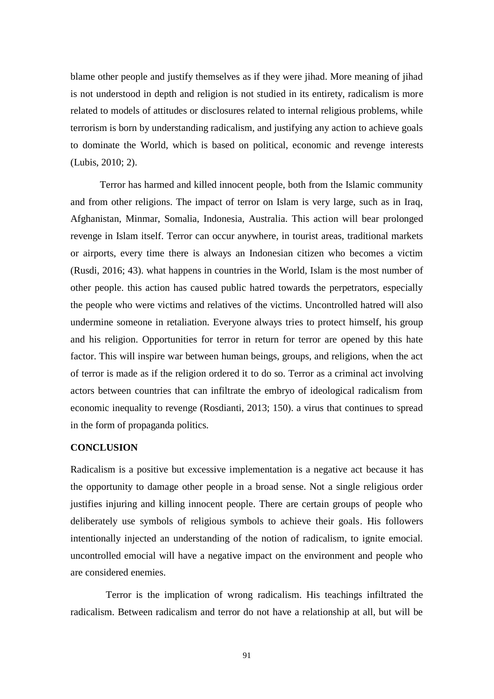blame other people and justify themselves as if they were jihad. More meaning of jihad is not understood in depth and religion is not studied in its entirety, radicalism is more related to models of attitudes or disclosures related to internal religious problems, while terrorism is born by understanding radicalism, and justifying any action to achieve goals to dominate the World, which is based on political, economic and revenge interests (Lubis, 2010; 2).

Terror has harmed and killed innocent people, both from the Islamic community and from other religions. The impact of terror on Islam is very large, such as in Iraq, Afghanistan, Minmar, Somalia, Indonesia, Australia. This action will bear prolonged revenge in Islam itself. Terror can occur anywhere, in tourist areas, traditional markets or airports, every time there is always an Indonesian citizen who becomes a victim (Rusdi, 2016; 43). what happens in countries in the World, Islam is the most number of other people. this action has caused public hatred towards the perpetrators, especially the people who were victims and relatives of the victims. Uncontrolled hatred will also undermine someone in retaliation. Everyone always tries to protect himself, his group and his religion. Opportunities for terror in return for terror are opened by this hate factor. This will inspire war between human beings, groups, and religions, when the act of terror is made as if the religion ordered it to do so. Terror as a criminal act involving actors between countries that can infiltrate the embryo of ideological radicalism from economic inequality to revenge (Rosdianti, 2013; 150). a virus that continues to spread in the form of propaganda politics.

#### **CONCLUSION**

Radicalism is a positive but excessive implementation is a negative act because it has the opportunity to damage other people in a broad sense. Not a single religious order justifies injuring and killing innocent people. There are certain groups of people who deliberately use symbols of religious symbols to achieve their goals. His followers intentionally injected an understanding of the notion of radicalism, to ignite emocial. uncontrolled emocial will have a negative impact on the environment and people who are considered enemies.

Terror is the implication of wrong radicalism. His teachings infiltrated the radicalism. Between radicalism and terror do not have a relationship at all, but will be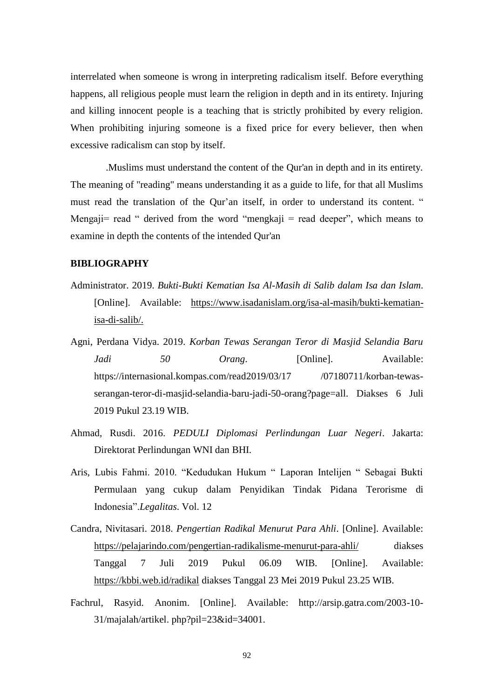interrelated when someone is wrong in interpreting radicalism itself. Before everything happens, all religious people must learn the religion in depth and in its entirety. Injuring and killing innocent people is a teaching that is strictly prohibited by every religion. When prohibiting injuring someone is a fixed price for every believer, then when excessive radicalism can stop by itself.

.Muslims must understand the content of the Qur'an in depth and in its entirety. The meaning of "reading" means understanding it as a guide to life, for that all Muslims must read the translation of the Qur'an itself, in order to understand its content. " Mengaji= read " derived from the word "mengkaji = read deeper", which means to examine in depth the contents of the intended Qur'an

## **BIBLIOGRAPHY**

- Administrator. 2019. *Bukti-Bukti Kematian Isa Al-Masih di Salib dalam Isa dan Islam*. [Online]. Available: [https://www.isadanislam.org/isa-al-masih/bukti-kematian](https://www.isadanislam.org/isa-al-masih/bukti-kematian-isa-di-salib/)[isa-di-salib/.](https://www.isadanislam.org/isa-al-masih/bukti-kematian-isa-di-salib/)
- Agni, Perdana Vidya. 2019. *Korban Tewas Serangan Teror di Masjid Selandia Baru Jadi* 50 *Orang*. **Communishers** Solution *Drang*. **Available:** https://internasional.kompas.com/read2019/03/17 /07180711/korban-tewasserangan-teror-di-masjid-selandia-baru-jadi-50-orang?page=all. Diakses 6 Juli 2019 Pukul 23.19 WIB.
- Ahmad, Rusdi. 2016. *PEDULI Diplomasi Perlindungan Luar Negeri*. Jakarta: Direktorat Perlindungan WNI dan BHI.
- Aris, Lubis Fahmi. 2010. "Kedudukan Hukum " Laporan Intelijen " Sebagai Bukti Permulaan yang cukup dalam Penyidikan Tindak Pidana Terorisme di Indonesia".*Legalitas*. Vol. 12
- Candra, Nivitasari. 2018. *Pengertian Radikal Menurut Para Ahli*. [Online]. Available: <https://pelajarindo.com/pengertian-radikalisme-menurut-para-ahli/> diakses Tanggal 7 Juli 2019 Pukul 06.09 WIB. [Online]. Available: <https://kbbi.web.id/radikal> diakses Tanggal 23 Mei 2019 Pukul 23.25 WIB.
- Fachrul, Rasyid. Anonim. [Online]. Available: http://arsip.gatra.com/2003-10- 31/majalah/artikel. php?pil=23&id=34001.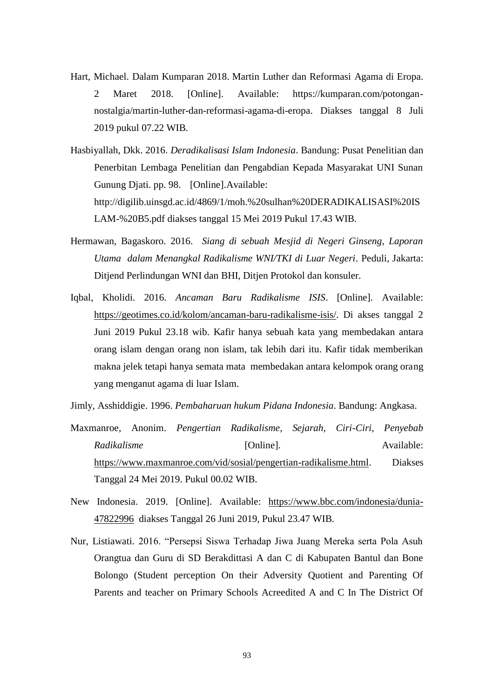- Hart, Michael. Dalam Kumparan 2018. Martin Luther dan Reformasi Agama di Eropa. 2 Maret 2018. [Online]. Available: https://kumparan.com/potongannostalgia/martin-luther-dan-reformasi-agama-di-eropa. Diakses tanggal 8 Juli 2019 pukul 07.22 WIB.
- Hasbiyallah, Dkk. 2016. *Deradikalisasi Islam Indonesia*. Bandung: Pusat Penelitian dan Penerbitan Lembaga Penelitian dan Pengabdian Kepada Masyarakat UNI Sunan Gunung Djati. pp. 98. [Online].Available: http://digilib.uinsgd.ac.id/4869/1/moh.%20sulhan%20DERADIKALISASI%20IS LAM-%20B5.pdf diakses tanggal 15 Mei 2019 Pukul 17.43 WIB.
- Hermawan, Bagaskoro. 2016. *Siang di sebuah Mesjid di Negeri Ginseng, Laporan Utama dalam Menangkal Radikalisme WNI/TKI di Luar Negeri*. Peduli, Jakarta: Ditjend Perlindungan WNI dan BHI, Ditjen Protokol dan konsuler.
- Iqbal, Kholidi. 2016. *Ancaman Baru Radikalisme ISIS*. [Online]. Available: [https://geotimes.co.id/kolom/ancaman-baru-radikalisme-isis/.](https://geotimes.co.id/kolom/ancaman-baru-radikalisme-isis/) Di akses tanggal 2 Juni 2019 Pukul 23.18 wib. Kafir hanya sebuah kata yang membedakan antara orang islam dengan orang non islam, tak lebih dari itu. Kafir tidak memberikan makna jelek tetapi hanya semata mata membedakan antara kelompok orang orang yang menganut agama di luar Islam.
- Jimly, Asshiddigie. 1996. *Pembaharuan hukum Pidana Indonesia*. Bandung: Angkasa.
- Maxmanroe, Anonim. *Pengertian Radikalisme, Sejarah, Ciri-Ciri, Penyebab Radikalisme* [Online]. Available: [https://www.maxmanroe.com/vid/sosial/pengertian-radikalisme.html.](https://www.maxmanroe.com/vid/sosial/pengertian-radikalisme.html) Diakses Tanggal 24 Mei 2019. Pukul 00.02 WIB.
- New Indonesia. 2019. [Online]. Available: [https://www.bbc.com/indonesia/dunia-](https://www.bbc.com/indonesia/dunia-47822996)[47822996](https://www.bbc.com/indonesia/dunia-47822996) diakses Tanggal 26 Juni 2019, Pukul 23.47 WIB.
- Nur, Listiawati. 2016. "Persepsi Siswa Terhadap Jiwa Juang Mereka serta Pola Asuh Orangtua dan Guru di SD Berakdittasi A dan C di Kabupaten Bantul dan Bone Bolongo (Student perception On their Adversity Quotient and Parenting Of Parents and teacher on Primary Schools Acreedited A and C In The District Of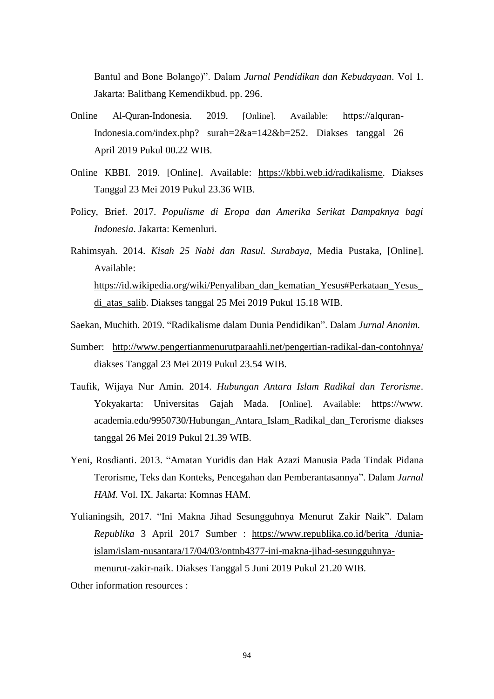Bantul and Bone Bolango)". Dalam *Jurnal Pendidikan dan Kebudayaan*. Vol 1. Jakarta: Balitbang Kemendikbud. pp. 296.

- Online Al-Quran-Indonesia. 2019. [Online]. Available: https://alquran-Indonesia.com/index.php? surah=2&a=142&b=252. Diakses tanggal 26 April 2019 Pukul 00.22 WIB.
- Online KBBI. 2019. [Online]. Available: [https://kbbi.web.id/radikalisme.](https://kbbi.web.id/radikalisme) Diakses Tanggal 23 Mei 2019 Pukul 23.36 WIB.
- Policy, Brief. 2017. *Populisme di Eropa dan Amerika Serikat Dampaknya bagi Indonesia*. Jakarta: Kemenluri.
- Rahimsyah. 2014. *Kisah 25 Nabi dan Rasul. Surabaya*, Media Pustaka, [Online]. Available: [https://id.wikipedia.org/wiki/Penyaliban\\_dan\\_kematian\\_Yesus#Perkataan\\_Yesus\\_](https://id.wikipedia.org/wiki/Penyaliban_dan_kematian_Yesus#Perkataan_Yesus_di_atas_salib) [di\\_atas\\_salib.](https://id.wikipedia.org/wiki/Penyaliban_dan_kematian_Yesus#Perkataan_Yesus_di_atas_salib) Diakses tanggal 25 Mei 2019 Pukul 15.18 WIB.
- Saekan, Muchith. 2019. "Radikalisme dalam Dunia Pendidikan". Dalam *Jurnal Anonim.*
- Sumber: <http://www.pengertianmenurutparaahli.net/pengertian-radikal-dan-contohnya/> diakses Tanggal 23 Mei 2019 Pukul 23.54 WIB.
- Taufik, Wijaya Nur Amin. 2014. *Hubungan Antara Islam Radikal dan Terorisme*. Yokyakarta: Universitas Gajah Mada. [Online]. Available: https://www. academia.edu/9950730/Hubungan\_Antara\_Islam\_Radikal\_dan\_Terorisme diakses tanggal 26 Mei 2019 Pukul 21.39 WIB.
- Yeni, Rosdianti. 2013. "Amatan Yuridis dan Hak Azazi Manusia Pada Tindak Pidana Terorisme, Teks dan Konteks, Pencegahan dan Pemberantasannya". Dalam *Jurnal HAM.* Vol. IX. Jakarta: Komnas HAM.
- Yulianingsih, 2017. "Ini Makna Jihad Sesungguhnya Menurut Zakir Naik"*.* Dalam *Republika* 3 April 2017 Sumber : [https://www.republika.co.id/berita](https://www.republika.co.id/berita%20/dunia-islam/islam-nusantara/17/04/03/ontnb4377-ini-makna-jihad-sesungguhnya-menurut-zakir-naik) /dunia[islam/islam-nusantara/17/04/03/ontnb4377-ini-makna-jihad-sesungguhnya](https://www.republika.co.id/berita%20/dunia-islam/islam-nusantara/17/04/03/ontnb4377-ini-makna-jihad-sesungguhnya-menurut-zakir-naik)[menurut-zakir-naik.](https://www.republika.co.id/berita%20/dunia-islam/islam-nusantara/17/04/03/ontnb4377-ini-makna-jihad-sesungguhnya-menurut-zakir-naik) Diakses Tanggal 5 Juni 2019 Pukul 21.20 WIB.

Other information resources :